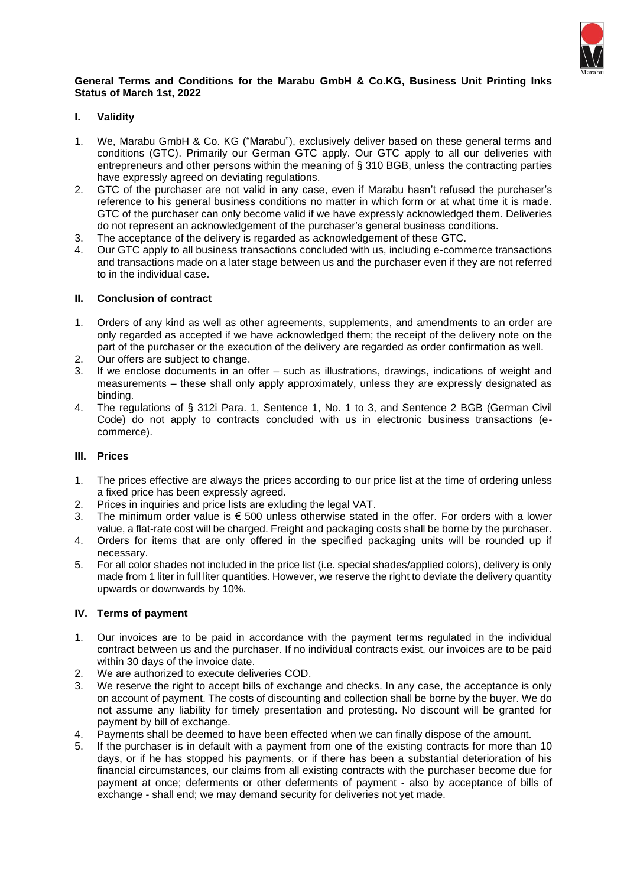

## **General Terms and Conditions for the Marabu GmbH & Co.KG, Business Unit Printing Inks Status of March 1st, 2022**

# **I. Validity**

- 1. We, Marabu GmbH & Co. KG ("Marabu"), exclusively deliver based on these general terms and conditions (GTC). Primarily our German GTC apply. Our GTC apply to all our deliveries with entrepreneurs and other persons within the meaning of § 310 BGB, unless the contracting parties have expressly agreed on deviating regulations.
- 2. GTC of the purchaser are not valid in any case, even if Marabu hasn't refused the purchaser's reference to his general business conditions no matter in which form or at what time it is made. GTC of the purchaser can only become valid if we have expressly acknowledged them. Deliveries do not represent an acknowledgement of the purchaser's general business conditions.
- 3. The acceptance of the delivery is regarded as acknowledgement of these GTC.
- 4. Our GTC apply to all business transactions concluded with us, including e-commerce transactions and transactions made on a later stage between us and the purchaser even if they are not referred to in the individual case.

# **II. Conclusion of contract**

- 1. Orders of any kind as well as other agreements, supplements, and amendments to an order are only regarded as accepted if we have acknowledged them; the receipt of the delivery note on the part of the purchaser or the execution of the delivery are regarded as order confirmation as well.
- 2. Our offers are subject to change.
- 3. If we enclose documents in an offer such as illustrations, drawings, indications of weight and measurements – these shall only apply approximately, unless they are expressly designated as binding.
- 4. The regulations of § 312i Para. 1, Sentence 1, No. 1 to 3, and Sentence 2 BGB (German Civil Code) do not apply to contracts concluded with us in electronic business transactions (ecommerce).

# **III. Prices**

- 1. The prices effective are always the prices according to our price list at the time of ordering unless a fixed price has been expressly agreed.
- 2. Prices in inquiries and price lists are exluding the legal VAT.
- 3. The minimum order value is  $\epsilon$  500 unless otherwise stated in the offer. For orders with a lower value, a flat-rate cost will be charged. Freight and packaging costs shall be borne by the purchaser.
- 4. Orders for items that are only offered in the specified packaging units will be rounded up if necessary.
- 5. For all color shades not included in the price list (i.e. special shades/applied colors), delivery is only made from 1 liter in full liter quantities. However, we reserve the right to deviate the delivery quantity upwards or downwards by 10%.

# **IV. Terms of payment**

- 1. Our invoices are to be paid in accordance with the payment terms regulated in the individual contract between us and the purchaser. If no individual contracts exist, our invoices are to be paid within 30 days of the invoice date.
- 2. We are authorized to execute deliveries COD.
- 3. We reserve the right to accept bills of exchange and checks. In any case, the acceptance is only on account of payment. The costs of discounting and collection shall be borne by the buyer. We do not assume any liability for timely presentation and protesting. No discount will be granted for payment by bill of exchange.
- 4. Payments shall be deemed to have been effected when we can finally dispose of the amount.
- 5. If the purchaser is in default with a payment from one of the existing contracts for more than 10 days, or if he has stopped his payments, or if there has been a substantial deterioration of his financial circumstances, our claims from all existing contracts with the purchaser become due for payment at once; deferments or other deferments of payment - also by acceptance of bills of exchange - shall end; we may demand security for deliveries not yet made.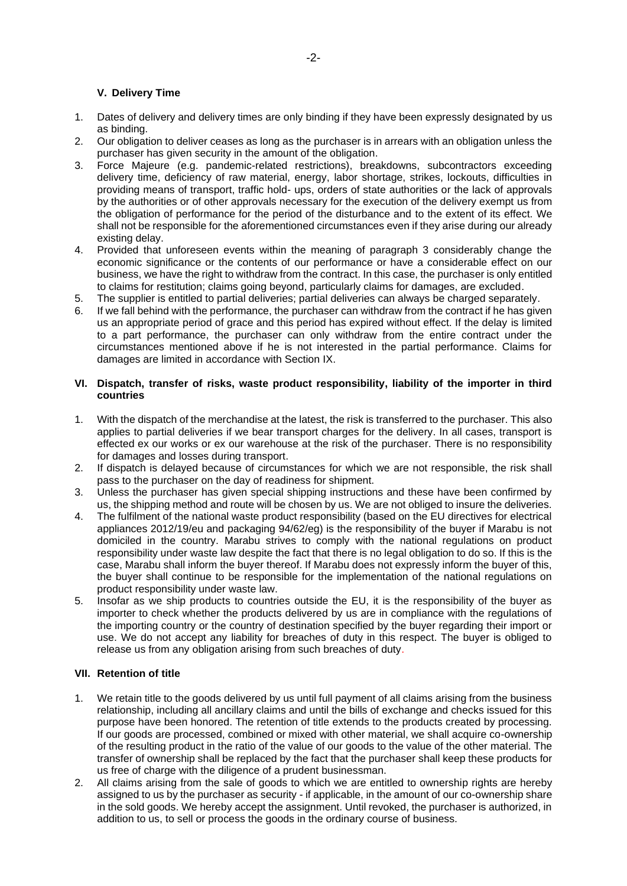## **V. Delivery Time**

- 1. Dates of delivery and delivery times are only binding if they have been expressly designated by us as binding.
- 2. Our obligation to deliver ceases as long as the purchaser is in arrears with an obligation unless the purchaser has given security in the amount of the obligation.
- 3. Force Majeure (e.g. pandemic-related restrictions), breakdowns, subcontractors exceeding delivery time, deficiency of raw material, energy, labor shortage, strikes, lockouts, difficulties in providing means of transport, traffic hold- ups, orders of state authorities or the lack of approvals by the authorities or of other approvals necessary for the execution of the delivery exempt us from the obligation of performance for the period of the disturbance and to the extent of its effect. We shall not be responsible for the aforementioned circumstances even if they arise during our already existing delay.
- 4. Provided that unforeseen events within the meaning of paragraph 3 considerably change the economic significance or the contents of our performance or have a considerable effect on our business, we have the right to withdraw from the contract. In this case, the purchaser is only entitled to claims for restitution; claims going beyond, particularly claims for damages, are excluded.
- 5. The supplier is entitled to partial deliveries; partial deliveries can always be charged separately.
- 6. If we fall behind with the performance, the purchaser can withdraw from the contract if he has given us an appropriate period of grace and this period has expired without effect. If the delay is limited to a part performance, the purchaser can only withdraw from the entire contract under the circumstances mentioned above if he is not interested in the partial performance. Claims for damages are limited in accordance with Section IX.

## **VI. Dispatch, transfer of risks, waste product responsibility, liability of the importer in third countries**

- 1. With the dispatch of the merchandise at the latest, the risk is transferred to the purchaser. This also applies to partial deliveries if we bear transport charges for the delivery. In all cases, transport is effected ex our works or ex our warehouse at the risk of the purchaser. There is no responsibility for damages and losses during transport.
- 2. If dispatch is delayed because of circumstances for which we are not responsible, the risk shall pass to the purchaser on the day of readiness for shipment.
- 3. Unless the purchaser has given special shipping instructions and these have been confirmed by us, the shipping method and route will be chosen by us. We are not obliged to insure the deliveries.
- 4. The fulfilment of the national waste product responsibility (based on the EU directives for electrical appliances 2012/19/eu and packaging 94/62/eg) is the responsibility of the buyer if Marabu is not domiciled in the country. Marabu strives to comply with the national regulations on product responsibility under waste law despite the fact that there is no legal obligation to do so. If this is the case, Marabu shall inform the buyer thereof. If Marabu does not expressly inform the buyer of this, the buyer shall continue to be responsible for the implementation of the national regulations on product responsibility under waste law.
- 5. Insofar as we ship products to countries outside the EU, it is the responsibility of the buyer as importer to check whether the products delivered by us are in compliance with the regulations of the importing country or the country of destination specified by the buyer regarding their import or use. We do not accept any liability for breaches of duty in this respect. The buyer is obliged to release us from any obligation arising from such breaches of duty.

#### **VII. Retention of title**

- 1. We retain title to the goods delivered by us until full payment of all claims arising from the business relationship, including all ancillary claims and until the bills of exchange and checks issued for this purpose have been honored. The retention of title extends to the products created by processing. If our goods are processed, combined or mixed with other material, we shall acquire co-ownership of the resulting product in the ratio of the value of our goods to the value of the other material. The transfer of ownership shall be replaced by the fact that the purchaser shall keep these products for us free of charge with the diligence of a prudent businessman.
- 2. All claims arising from the sale of goods to which we are entitled to ownership rights are hereby assigned to us by the purchaser as security - if applicable, in the amount of our co-ownership share in the sold goods. We hereby accept the assignment. Until revoked, the purchaser is authorized, in addition to us, to sell or process the goods in the ordinary course of business.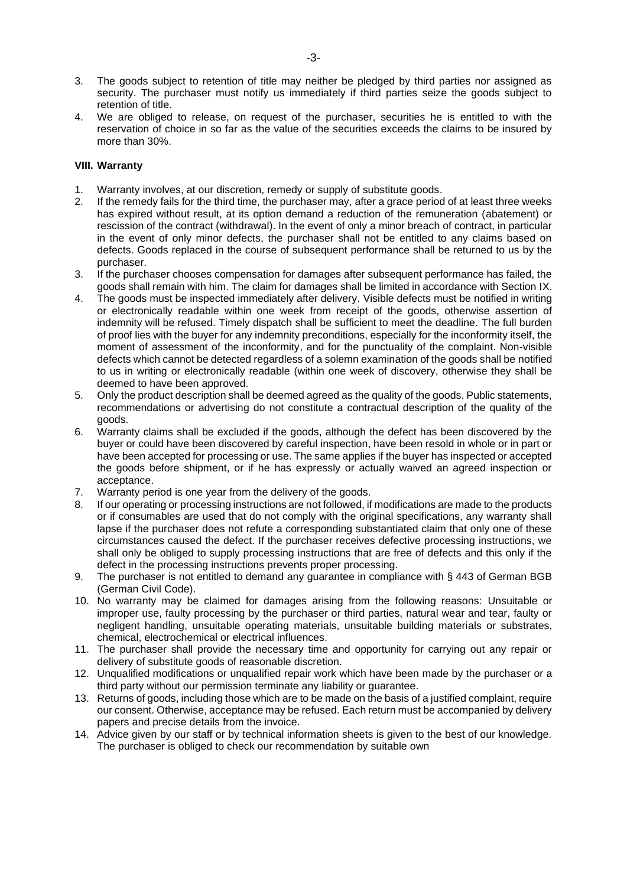- 3. The goods subject to retention of title may neither be pledged by third parties nor assigned as security. The purchaser must notify us immediately if third parties seize the goods subject to retention of title.
- 4. We are obliged to release, on request of the purchaser, securities he is entitled to with the reservation of choice in so far as the value of the securities exceeds the claims to be insured by more than 30%.

## **VIII. Warranty**

- 1. Warranty involves, at our discretion, remedy or supply of substitute goods.
- 2. If the remedy fails for the third time, the purchaser may, after a grace period of at least three weeks has expired without result, at its option demand a reduction of the remuneration (abatement) or rescission of the contract (withdrawal). In the event of only a minor breach of contract, in particular in the event of only minor defects, the purchaser shall not be entitled to any claims based on defects. Goods replaced in the course of subsequent performance shall be returned to us by the purchaser.
- 3. If the purchaser chooses compensation for damages after subsequent performance has failed, the goods shall remain with him. The claim for damages shall be limited in accordance with Section IX.
- 4. The goods must be inspected immediately after delivery. Visible defects must be notified in writing or electronically readable within one week from receipt of the goods, otherwise assertion of indemnity will be refused. Timely dispatch shall be sufficient to meet the deadline. The full burden of proof lies with the buyer for any indemnity preconditions, especially for the inconformity itself, the moment of assessment of the inconformity, and for the punctuality of the complaint. Non-visible defects which cannot be detected regardless of a solemn examination of the goods shall be notified to us in writing or electronically readable (within one week of discovery, otherwise they shall be deemed to have been approved.
- 5. Only the product description shall be deemed agreed as the quality of the goods. Public statements, recommendations or advertising do not constitute a contractual description of the quality of the goods.
- 6. Warranty claims shall be excluded if the goods, although the defect has been discovered by the buyer or could have been discovered by careful inspection, have been resold in whole or in part or have been accepted for processing or use. The same applies if the buyer has inspected or accepted the goods before shipment, or if he has expressly or actually waived an agreed inspection or acceptance.
- 7. Warranty period is one year from the delivery of the goods.
- 8. If our operating or processing instructions are not followed, if modifications are made to the products or if consumables are used that do not comply with the original specifications, any warranty shall lapse if the purchaser does not refute a corresponding substantiated claim that only one of these circumstances caused the defect. If the purchaser receives defective processing instructions, we shall only be obliged to supply processing instructions that are free of defects and this only if the defect in the processing instructions prevents proper processing.
- 9. The purchaser is not entitled to demand any guarantee in compliance with § 443 of German BGB (German Civil Code).
- 10. No warranty may be claimed for damages arising from the following reasons: Unsuitable or improper use, faulty processing by the purchaser or third parties, natural wear and tear, faulty or negligent handling, unsuitable operating materials, unsuitable building materials or substrates, chemical, electrochemical or electrical influences.
- 11. The purchaser shall provide the necessary time and opportunity for carrying out any repair or delivery of substitute goods of reasonable discretion.
- 12. Unqualified modifications or unqualified repair work which have been made by the purchaser or a third party without our permission terminate any liability or guarantee.
- 13. Returns of goods, including those which are to be made on the basis of a justified complaint, require our consent. Otherwise, acceptance may be refused. Each return must be accompanied by delivery papers and precise details from the invoice.
- 14. Advice given by our staff or by technical information sheets is given to the best of our knowledge. The purchaser is obliged to check our recommendation by suitable own